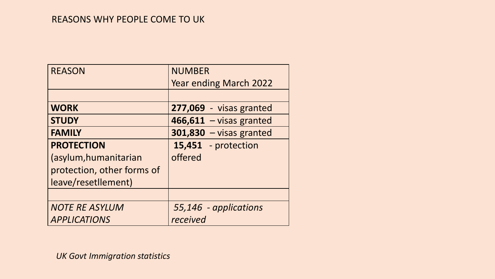#### REASONS WHY PEOPLE COME TO UK

| <b>REASON</b>              | <b>NUMBER</b>                 |
|----------------------------|-------------------------------|
|                            | <b>Year ending March 2022</b> |
|                            |                               |
| <b>WORK</b>                | 277,069 - visas granted       |
| <b>STUDY</b>               | $466,611 - visas granted$     |
| <b>FAMILY</b>              | $301,830 - visas granted$     |
| <b>PROTECTION</b>          | 15,451 - protection           |
| (asylum, humanitarian      | offered                       |
| protection, other forms of |                               |
| leave/resetllement)        |                               |
|                            |                               |
| <b>NOTE RE ASYLUM</b>      | 55,146 - applications         |
| <b>APPLICATIONS</b>        | received                      |

*UK Govt Immigration statistics*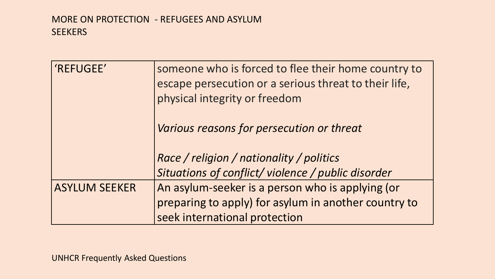## MORE ON PROTECTION - REFUGEES AND ASYLUM **SEEKERS**

| 'REFUGEE'            | someone who is forced to flee their home country to<br>escape persecution or a serious threat to their life,<br>physical integrity or freedom |
|----------------------|-----------------------------------------------------------------------------------------------------------------------------------------------|
|                      | Various reasons for persecution or threat                                                                                                     |
|                      | Race / religion / nationality / politics                                                                                                      |
|                      | Situations of conflict/ violence / public disorder                                                                                            |
| <b>ASYLUM SEEKER</b> | An asylum-seeker is a person who is applying (or                                                                                              |
|                      | preparing to apply) for asylum in another country to                                                                                          |
|                      | seek international protection                                                                                                                 |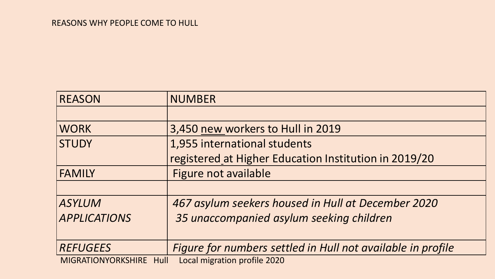| <b>REASON</b>           | <b>NUMBER</b>                                               |
|-------------------------|-------------------------------------------------------------|
|                         |                                                             |
| <b>WORK</b>             | 3,450 new workers to Hull in 2019                           |
| <b>STUDY</b>            | 1,955 international students                                |
|                         | registered at Higher Education Institution in 2019/20       |
| <b>FAMILY</b>           | Figure not available                                        |
|                         |                                                             |
| <b>ASYLUM</b>           | 467 asylum seekers housed in Hull at December 2020          |
| <b>APPLICATIONS</b>     | 35 unaccompanied asylum seeking children                    |
|                         |                                                             |
| <b>REFUGEES</b>         | Figure for numbers settled in Hull not available in profile |
| MIGRATIONYORKSHIRE Hull | Local migration profile 2020                                |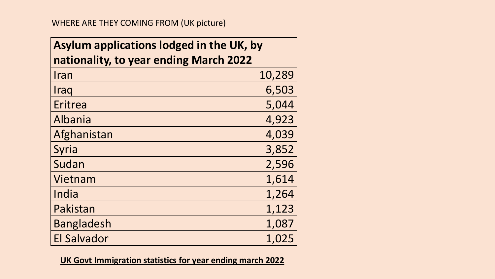| Asylum applications lodged in the UK, by |        |  |
|------------------------------------------|--------|--|
| nationality, to year ending March 2022   |        |  |
| Iran                                     | 10,289 |  |
| Iraq                                     | 6,503  |  |
| Eritrea                                  | 5,044  |  |
| Albania                                  | 4,923  |  |
| Afghanistan                              | 4,039  |  |
| Syria                                    | 3,852  |  |
| Sudan                                    | 2,596  |  |
| Vietnam                                  | 1,614  |  |
| India                                    | 1,264  |  |
| Pakistan                                 | 1,123  |  |
| <b>Bangladesh</b>                        | 1,087  |  |
| <b>El Salvador</b>                       | 1,025  |  |

**UK Govt Immigration statistics for year ending march 2022**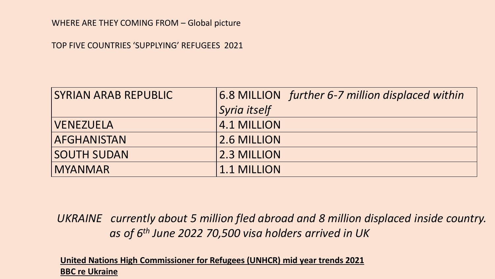#### WHERE ARE THEY COMING FROM – Global picture

TOP FIVE COUNTRIES 'SUPPLYING' REFUGEES 2021

| <b>SYRIAN ARAB REPUBLIC</b> | 6.8 MILLION further 6-7 million displaced within |
|-----------------------------|--------------------------------------------------|
|                             | Syria itself                                     |
| <b>VENEZUELA</b>            | 4.1 MILLION                                      |
| <b>AFGHANISTAN</b>          | 2.6 MILLION                                      |
| <b>SOUTH SUDAN</b>          | 2.3 MILLION                                      |
| <b>MYANMAR</b>              | 1.1 MILLION                                      |

*UKRAINE currently about 5 million fled abroad and 8 million displaced inside country. as of 6th June 2022 70,500 visa holders arrived in UK* 

**United Nations High Commissioner for Refugees (UNHCR) mid year trends 2021 BBC re Ukraine**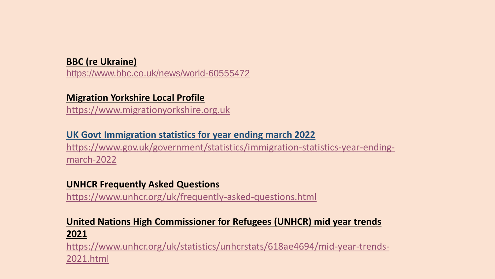## **BBC (re Ukraine)**

<https://www.bbc.co.uk/news/world-60555472>

## **Migration Yorkshire Local Profile**

[https://www.migrationyorkshire.org.uk](https://www.migrationyorkshire.org.uk/)

#### **UK Govt Immigration statistics for year ending march 2022**

[https://www.gov.uk/government/statistics/immigration-statistics-year-ending](https://www.gov.uk/government/statistics/immigration-statistics-year-ending-march-2022)march-2022

#### **UNHCR Frequently Asked Questions**

<https://www.unhcr.org/uk/frequently-asked-questions.html>

# **United Nations High Commissioner for Refugees (UNHCR) mid year trends 2021**

[https://www.unhcr.org/uk/statistics/unhcrstats/618ae4694/mid-year-trends-](https://www.unhcr.org/uk/statistics/unhcrstats/618ae4694/mid-year-trends-2021.html)2021.html